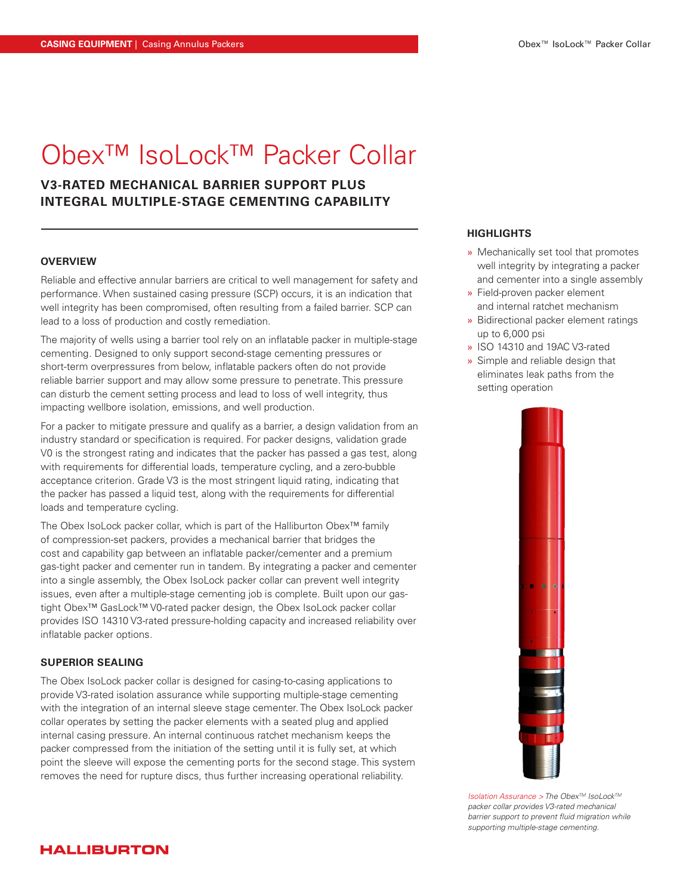# Obex™ IsoLock™ Packer Collar

# **V3-RATED MECHANICAL BARRIER SUPPORT PLUS INTEGRAL MULTIPLE-STAGE CEMENTING CAPABILITY**

### **OVERVIEW**

Reliable and effective annular barriers are critical to well management for safety and performance. When sustained casing pressure (SCP) occurs, it is an indication that well integrity has been compromised, often resulting from a failed barrier. SCP can lead to a loss of production and costly remediation.

The majority of wells using a barrier tool rely on an inflatable packer in multiple-stage cementing. Designed to only support second-stage cementing pressures or short-term overpressures from below, inflatable packers often do not provide reliable barrier support and may allow some pressure to penetrate. This pressure can disturb the cement setting process and lead to loss of well integrity, thus impacting wellbore isolation, emissions, and well production.

For a packer to mitigate pressure and qualify as a barrier, a design validation from an industry standard or specification is required. For packer designs, validation grade V0 is the strongest rating and indicates that the packer has passed a gas test, along with requirements for differential loads, temperature cycling, and a zero-bubble acceptance criterion. Grade V3 is the most stringent liquid rating, indicating that the packer has passed a liquid test, along with the requirements for differential loads and temperature cycling.

The Obex IsoLock packer collar, which is part of the Halliburton Obex™ family of compression-set packers, provides a mechanical barrier that bridges the cost and capability gap between an inflatable packer/cementer and a premium gas-tight packer and cementer run in tandem. By integrating a packer and cementer into a single assembly, the Obex IsoLock packer collar can prevent well integrity issues, even after a multiple-stage cementing job is complete. Built upon our gastight Obex™ GasLock™ V0-rated packer design, the Obex IsoLock packer collar provides ISO 14310 V3-rated pressure-holding capacity and increased reliability over inflatable packer options.

#### **SUPERIOR SEALING**

The Obex IsoLock packer collar is designed for casing-to-casing applications to provide V3-rated isolation assurance while supporting multiple-stage cementing with the integration of an internal sleeve stage cementer. The Obex IsoLock packer collar operates by setting the packer elements with a seated plug and applied internal casing pressure. An internal continuous ratchet mechanism keeps the packer compressed from the initiation of the setting until it is fully set, at which point the sleeve will expose the cementing ports for the second stage. This system removes the need for rupture discs, thus further increasing operational reliability.

#### **HIGHLIGHTS**

- » Mechanically set tool that promotes well integrity by integrating a packer and cementer into a single assembly
- » Field-proven packer element and internal ratchet mechanism
- » Bidirectional packer element ratings up to 6,000 psi
- » ISO 14310 and 19AC V3-rated
- » Simple and reliable design that eliminates leak paths from the setting operation



*Isolation Assurance > The ObexTM IsoLockTM packer collar provides V3-rated mechanical barrier support to prevent fluid migration while supporting multiple-stage cementing.*

## **HALLIBURTON**